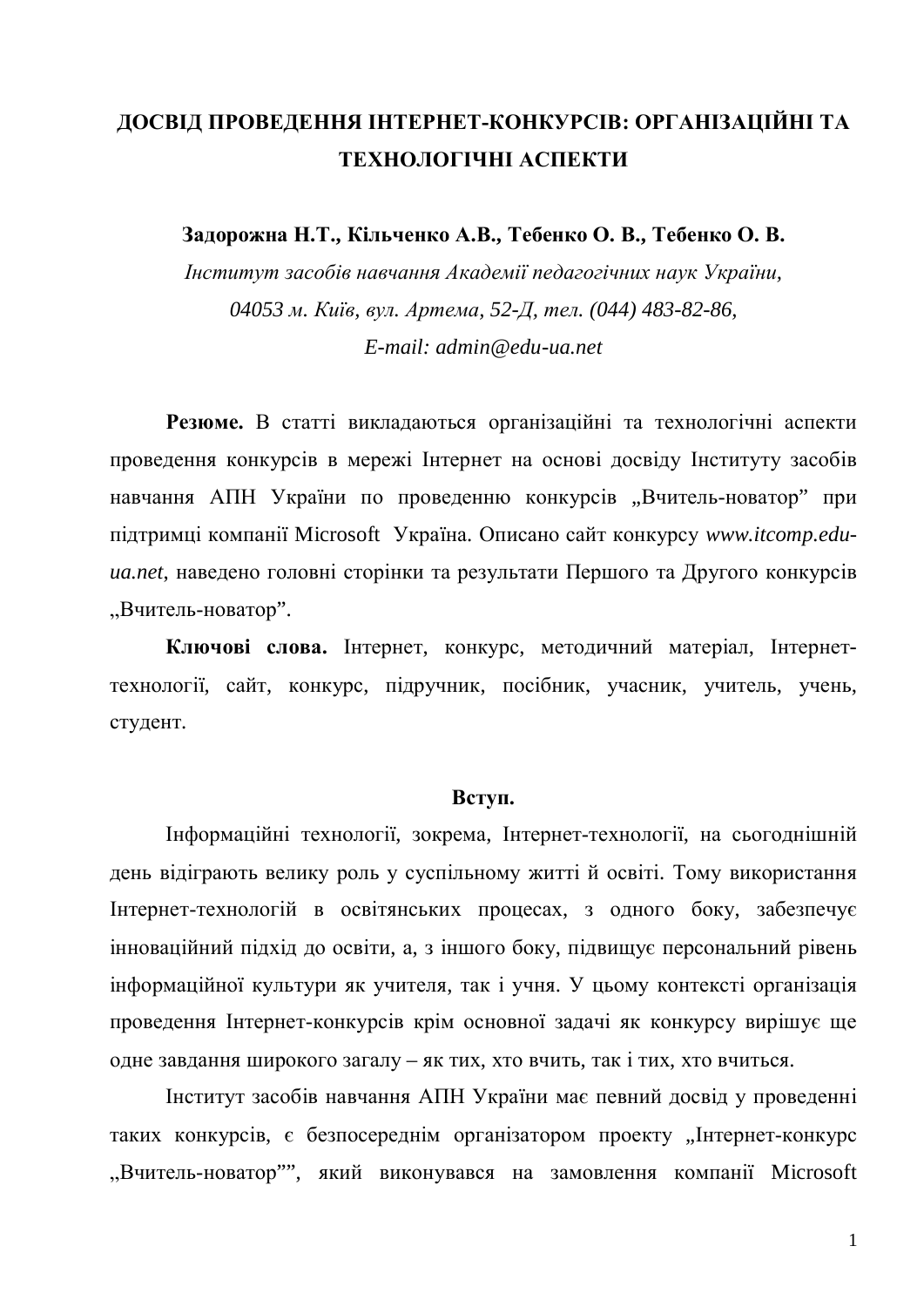# ДОСВІД ПРОВЕДЕННЯ ІНТЕРНЕТ-КОНКУРСІВ: ОРГАНІЗАЦІЙНІ ТА ТЕХНОЛОГІЧНІ АСПЕКТИ

Задорожна Н.Т., Кільченко А.В., Тебенко О. В., Тебенко О. В.

*ȱɧɫɬɢɬɭɬɡɚɫɨɛɿɜɧɚɜɱɚɧɧɹȺɤɚɞɟɦɿʀɩɟɞɚɝɨɝɿɱɧɢɯɧɚɭɤɍɤɪɚʀɧɢ, 04053 ɦ. Ʉɢʀɜ, ɜɭɥ. Ⱥɪɬɟɦɚ, 52-Ⱦ, ɬɟɥ. (044) 483-82-86, E-mail: admin@edu-ua.net* 

Резюме. В статті викладаються організаційні та технологічні аспекти проведення конкурсів в мережі Інтернет на основі досвіду Інституту засобів навчання АПН України по проведенню конкурсів "Вчитель-новатор" при підтримці компанії Microsoft Україна. Описано сайт конкурсу www.itcomp.edu*иа.net*, наведено головні сторінки та результати Першого та Другого конкурсів "Вчитель-новатор".

Ключові слова. Інтернет, конкурс, методичний матеріал, Інтернеттехнології, сайт, конкурс, підручник, посібник, учасник, учитель, учень, студент.

#### BCTVII.

Інформаційні технології, зокрема, Інтернет-технології, на сьогоднішній день відіграють велику роль у суспільному житті й освіті. Тому використання Iнтернет-технологій в освітянських процесах, з одного боку, забезпечує інноваційний підхід до освіти, а, з іншого боку, підвищує персональний рівень інформаційної культури як учителя, так і учня. У цьому контексті організація проведення Інтернет-конкурсів крім основної задачі як конкурсу вирішує ще одне завдання широкого загалу – як тих, хто вчить, так і тих, хто вчиться.

Неститут засобів навчання АПН України має певний досвід у проведенні таких конкурсів, є безпосереднім організатором проекту "Інтернет-конкурс "Вчитель-новатор"", який виконувався на замовлення компанії Microsoft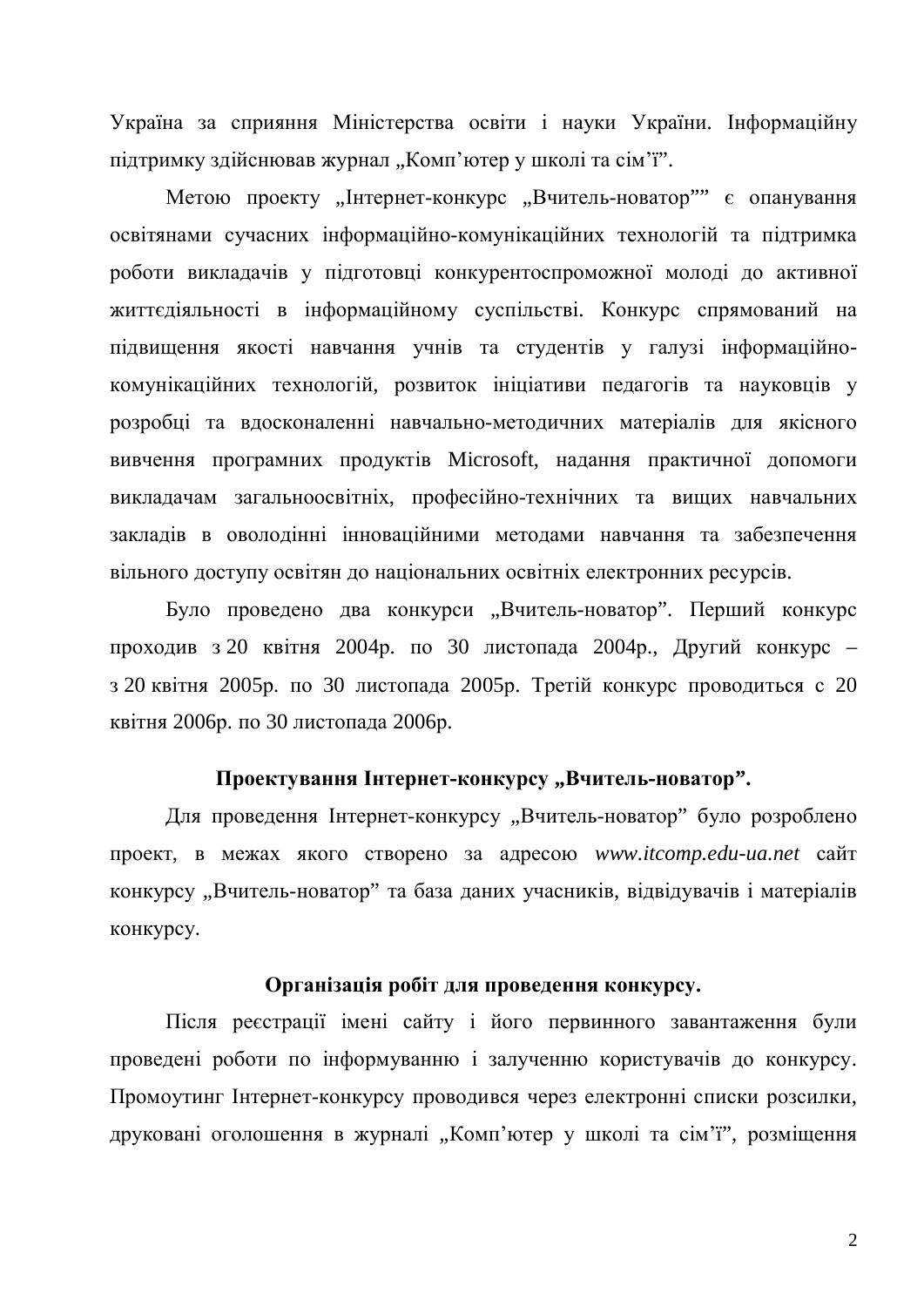Україна за сприяння Міністерства освіти і науки України. Інформаційну підтримку здійснював журнал "Комп'ютер у школі та сім'ї".

Метою проекту "Інтернет-конкурс "Вчитель-новатор" є опанування освітянами сучасних інформаційно-комунікаційних технологій та підтримка роботи викладачів у підготовці конкурентоспроможної молоді до активної життєдіяльності в інформаційному суспільстві. Конкурс спрямований на підвищення якості навчання учнів та студентів у галузі інформаційнокомунікаційних технологій, розвиток ініціативи педагогів та науковців у розробці та вдосконаленні навчально-методичних матеріалів для якісного вивчення програмних продуктів Microsoft, надання практичної допомоги викладачам загальноосвітніх, професійно-технічних та вищих навчальних закладів в оволодінні інноваційними методами навчання та забезпечення вільного доступу освітян до національних освітніх електронних ресурсів.

Було проведено два конкурси "Вчитель-новатор". Перший конкурс проходив з 20 квітня 2004 р. по 30 листопада 2004 р., Другий конкурс – з 20 квітня 2005р. по 30 листопада 2005р. Третій конкурс проводиться с 20 квітня 2006<sup>p</sup>. по 30 листопала 2006<sup>p</sup>.

### Проектування Інтернет-конкурсу "Вчитель-новатор".

Для проведення Інтернет-конкурсу "Вчитель-новатор" було розроблено проект, в межах якого створено за адресою www.itcomp.edu-ua.net сайт конкурсу "Вчитель-новатор" та база даних учасників, відвідувачів і матеріалів конкурсу.

### Організація робіт для проведення конкурсу.

Після реєстрації імені сайту і його первинного завантаження були проведені роботи по інформуванню і залученню користувачів до конкурсу. Промоутинг Інтернет-конкурсу проводився через електронні списки розсилки, друковані оголошення в журналі "Комп'ютер у школі та сім'ї", розміщення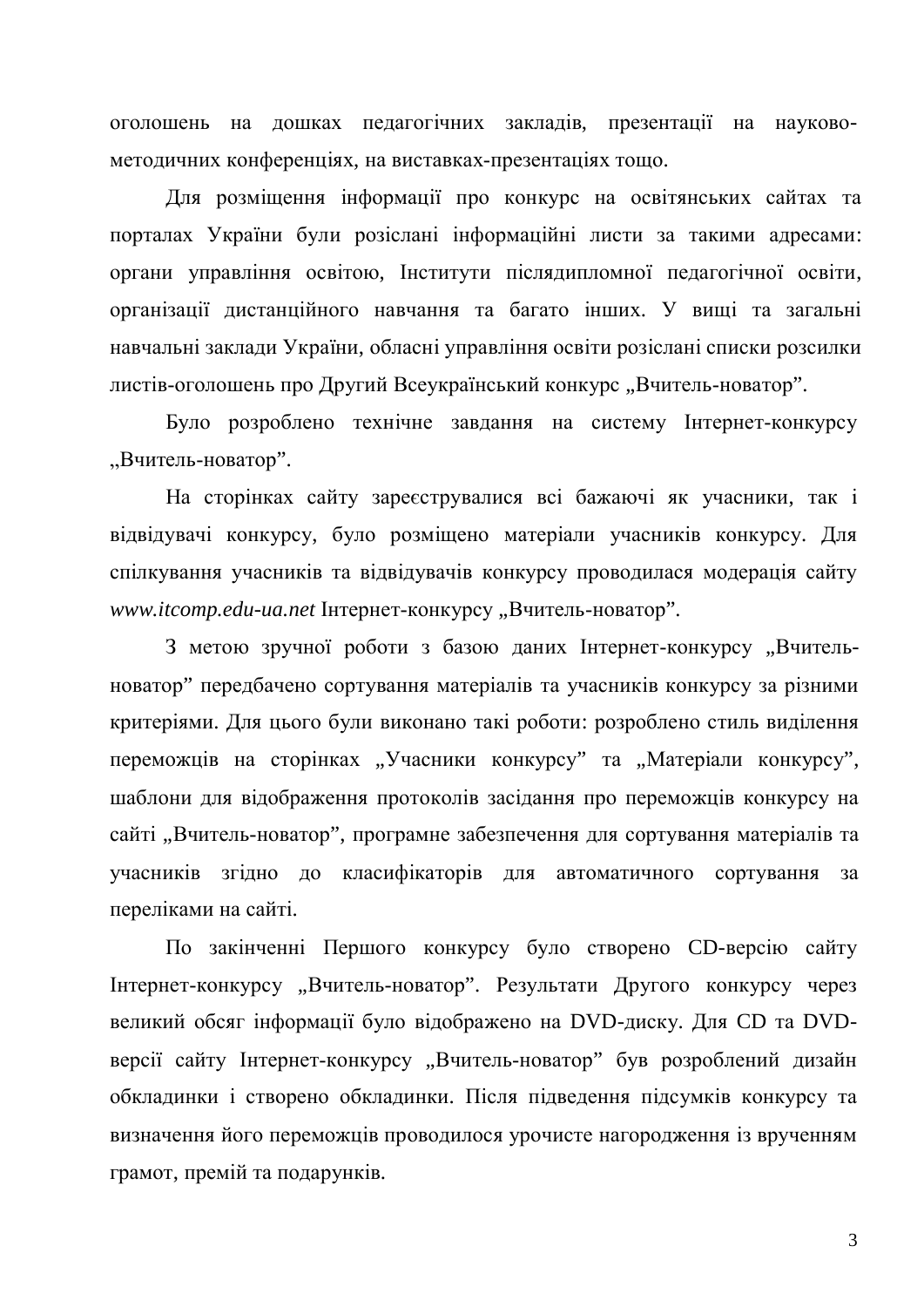оголошень на дошках педагогічних закладів, презентації на науковометодичних конференціях, на виставках-презентаціях тощо.

Для розміщення інформації про конкурс на освітянських сайтах та порталах України були розіслані інформаційні листи за такими адресами: органи управління освітою, Інститути післядипломної педагогічної освіти, організації дистанційного навчання та багато інших. У вищі та загальні навчальні заклади України, обласні управління освіти розіслані списки розсилки листів-оголошень про Другий Всеукраїнський конкурс "Вчитель-новатор".

Було розроблено технічне завдання на систему Інтернет-конкурсу "Вчитель-новатор".

На сторінках сайту зареєструвалися всі бажаючі як учасники, так і відвідувачі конкурсу, було розміщено матеріали учасників конкурсу. Для спілкування учасників та відвідувачів конкурсу проводилася модерація сайту www.itcomp.edu-ua.net Iнтернет-конкурсу "Вчитель-новатор".

З метою зручної роботи з базою даних Інтернет-конкурсу "Вчительноватор" передбачено сортування матеріалів та учасників конкурсу за різними критеріями. Для цього були виконано такі роботи: розроблено стиль виділення переможців на сторінках "Учасники конкурсу" та "Матеріали конкурсу", шаблони для відображення протоколів засідання про переможців конкурсу на сайті "Вчитель-новатор", програмне забезпечення для сортування матеріалів та учасників згідно до класифікаторів для автоматичного сортування за переліками на сайті.

По закінченні Першого конкурсу було створено СD-версію сайту Iнтернет-конкурсу "Вчитель-новатор". Результати Другого конкурсу через великий обсяг інформації було відображено на DVD-диску. Для CD та DVDверсії сайту Інтернет-конкурсу "Вчитель-новатор" був розроблений дизайн обкладинки і створено обкладинки. Після підведення підсумків конкурсу та визначення його переможців проводилося урочисте нагородження із врученням грамот, премій та подарунків.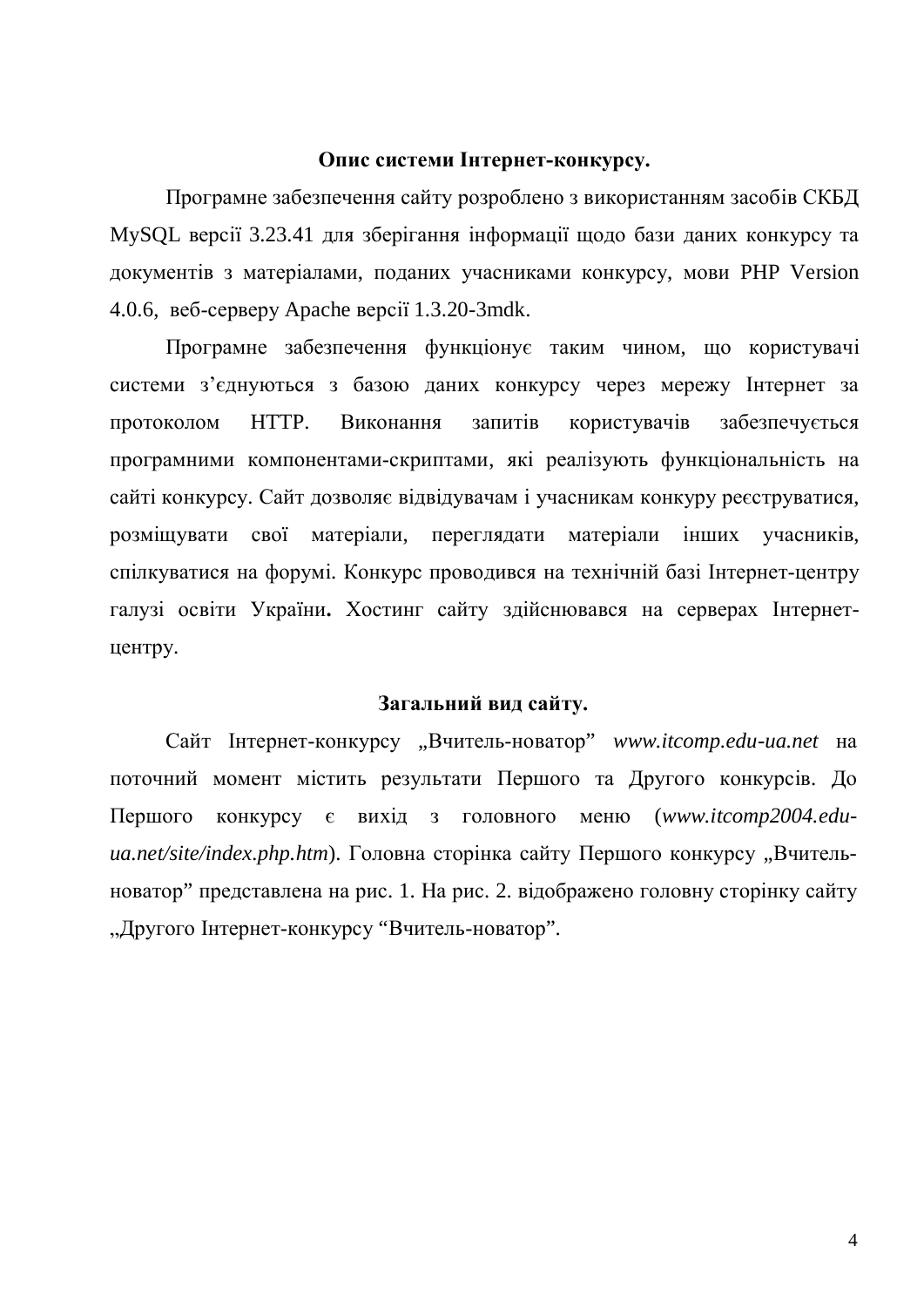#### Опис системи Інтернет-конкурсу.

Програмне забезпечення сайту розроблено з використанням засобів СКБД MySQL версії 3.23.41 для зберігання інформації щодо бази даних конкурсу та документів з матеріалами, поданих учасниками конкурсу, мови PHP Version 4.0.6,  $\text{Be6-cepsey}$  Apache  $\text{Bepc}$ ii 1.3.20-3mdk.

Програмне забезпечення функціонує таким чином, що користувачі системи з'єднуються з базою даних конкурсу через мережу Інтернет за протоколом НТТР. Виконання запитів користувачів забезпечується програмними компонентами-скриптами, які реалізують функціональність на сайті конкурсу. Сайт дозволяє відвідувачам і учасникам конкуру реєструватися, розмішувати свої матеріали, переглялати матеріали інших учасників, спілкуватися на форумі. Конкурс проводився на технічній базі Інтернет-центру галузі освіти України. Хостинг сайту здійснювався на серверах Інтернетцентру.

### Загальний вид сайту.

Сайт Інтернет-конкурсу "Вчитель-новатор" www.itcomp.edu-ua.net на поточний момент містить результати Першого та Другого конкурсів. До Першого конкурсу є вихід з головного меню (www.itcomp2004.edu*ua.net/site/index.php.htm*). Головна сторінка сайту Першого конкурсу "Вчительноватор" представлена на рис. 1. На рис. 2. відображено головну сторінку сайту "Другого Інтернет-конкурсу "Вчитель-новатор".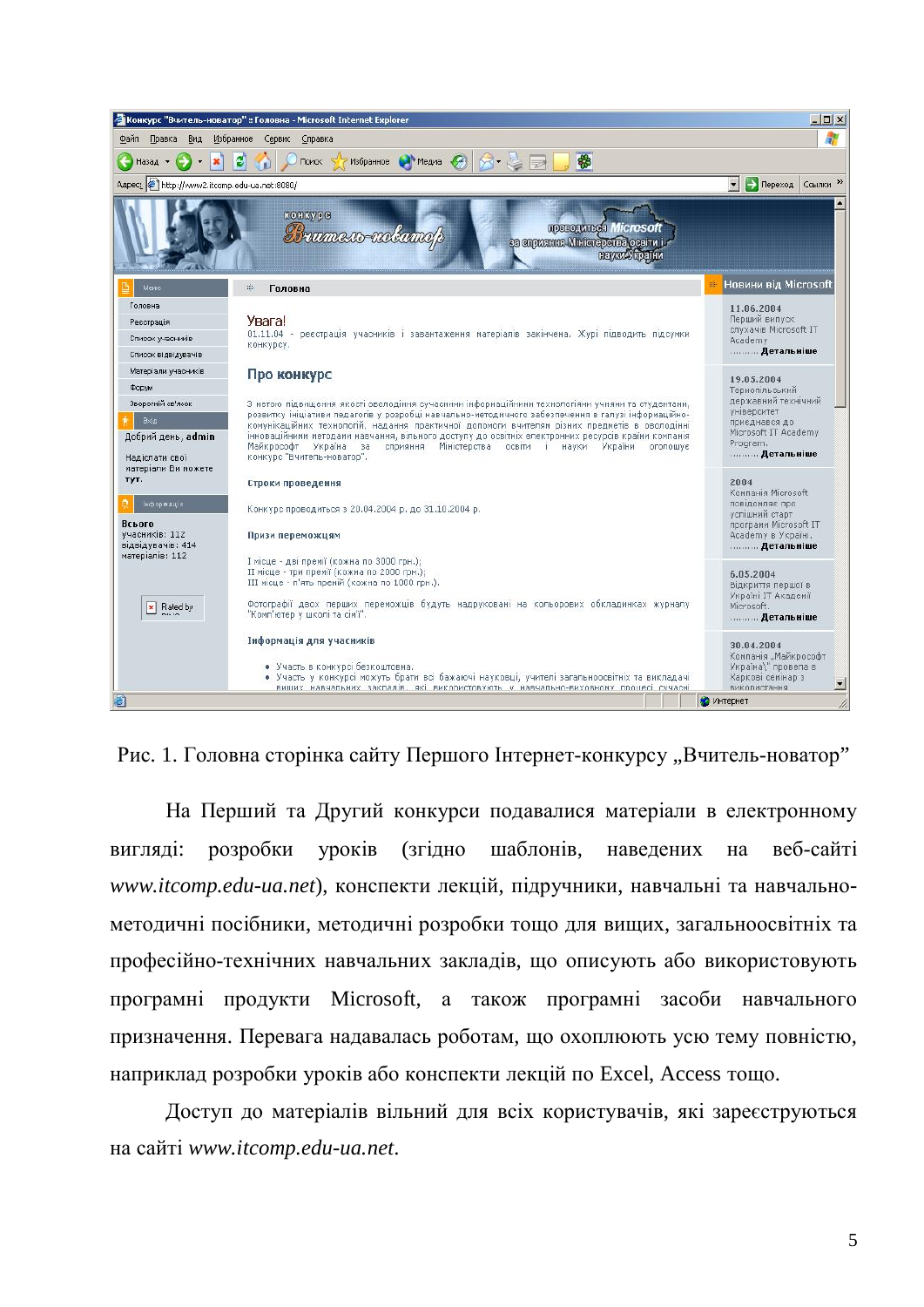

Рис. 1. Головна сторінка сайту Першого Інтернет-конкурсу "Вчитель-новатор"

На Перший та Другий конкурси подавалися матеріали в електронному виглялі: розробки уроків (згілно шаблонів, навелених на веб-сайті *www.itcomp.edu-ua.net*), конспекти лекцій, підручники, навчальні та навчальнометодичні посібники, методичні розробки тощо для вищих, загальноосвітніх та професійно-технічних навчальних закладів, що описують або використовують програмні продукти Microsoft, а також програмні засоби навчального призначення. Перевага надавалась роботам, що охоплюють усю тему повністю, наприклад розробки уроків або конспекти лекцій по Excel, Access тощо.

Доступ до матеріалів вільний для всіх користувачів, які зареєструються ɧɚɫɚɣɬɿ *www.itcomp.edu-ua.net*.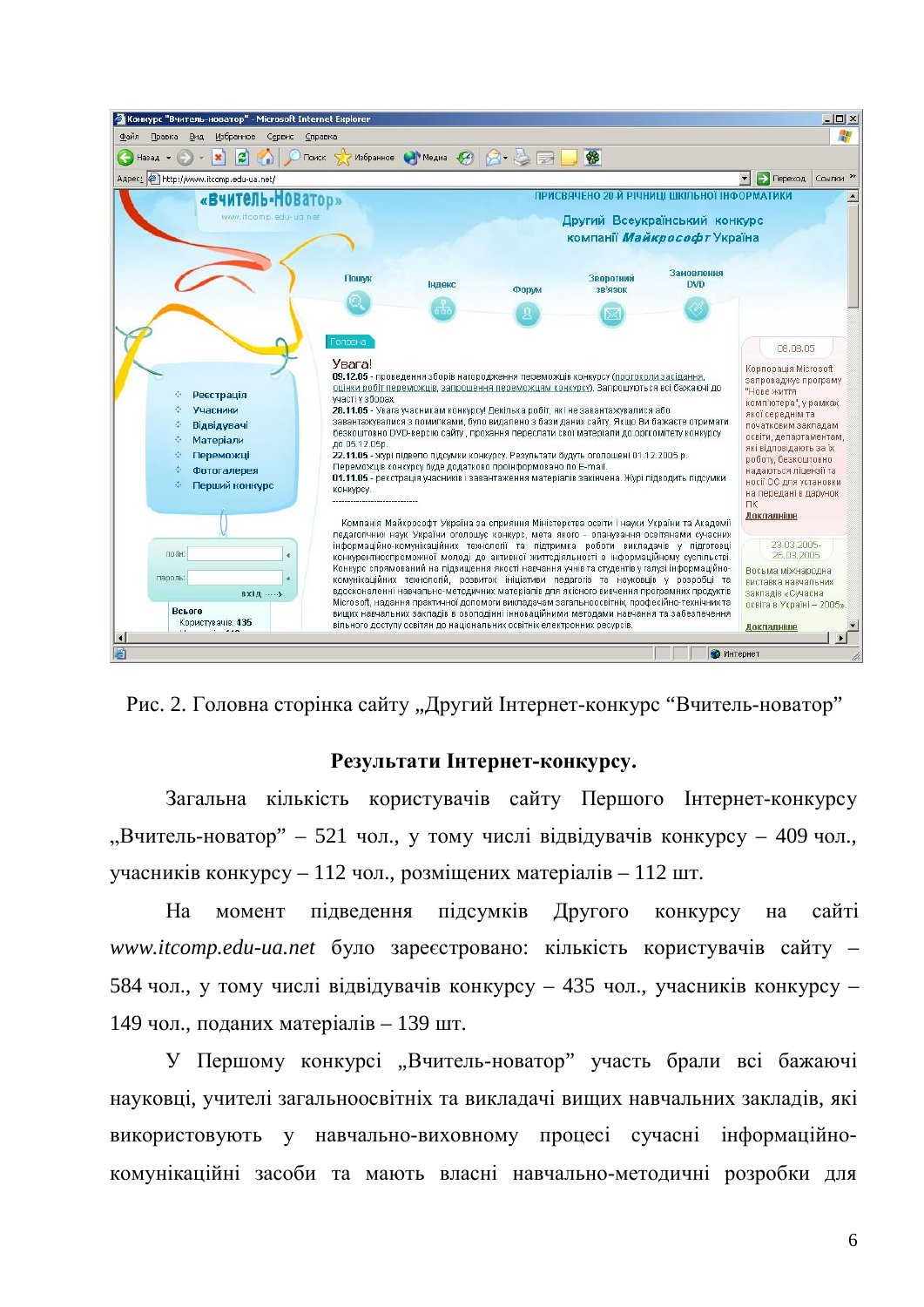

Рис. 2. Головна сторінка сайту "Лругий Інтернет-конкурс "Вчитель-новатор"

### Результати Інтернет-конкурсу.

Загальна кількість користувачів сайту Першого Інтернет-конкурсу "Вчитель-новатор" – 521 чол., у тому числі відвідувачів конкурсу – 409 чол., учасників конкурсу – 112 чол., розміщених матеріалів – 112 шт.

На момент пілвелення пілсумків Лругого конкурсу на сайті www.itcomp.edu-ua.net було зареєстровано: кількість користувачів сайту – 584 чол., у тому числі відвідувачів конкурсу – 435 чол., учасників конкурсу – 149 чол., поданих матеріалів – 139 шт.

У Першому конкурсі "Вчитель-новатор" участь брали всі бажаючі науковці, учителі загальноосвітніх та виклалачі виших навчальних закладів, які використовують у навчально-виховному процесі сучасні інформаційнокомунікаційні засоби та мають власні навчально-методичні розробки для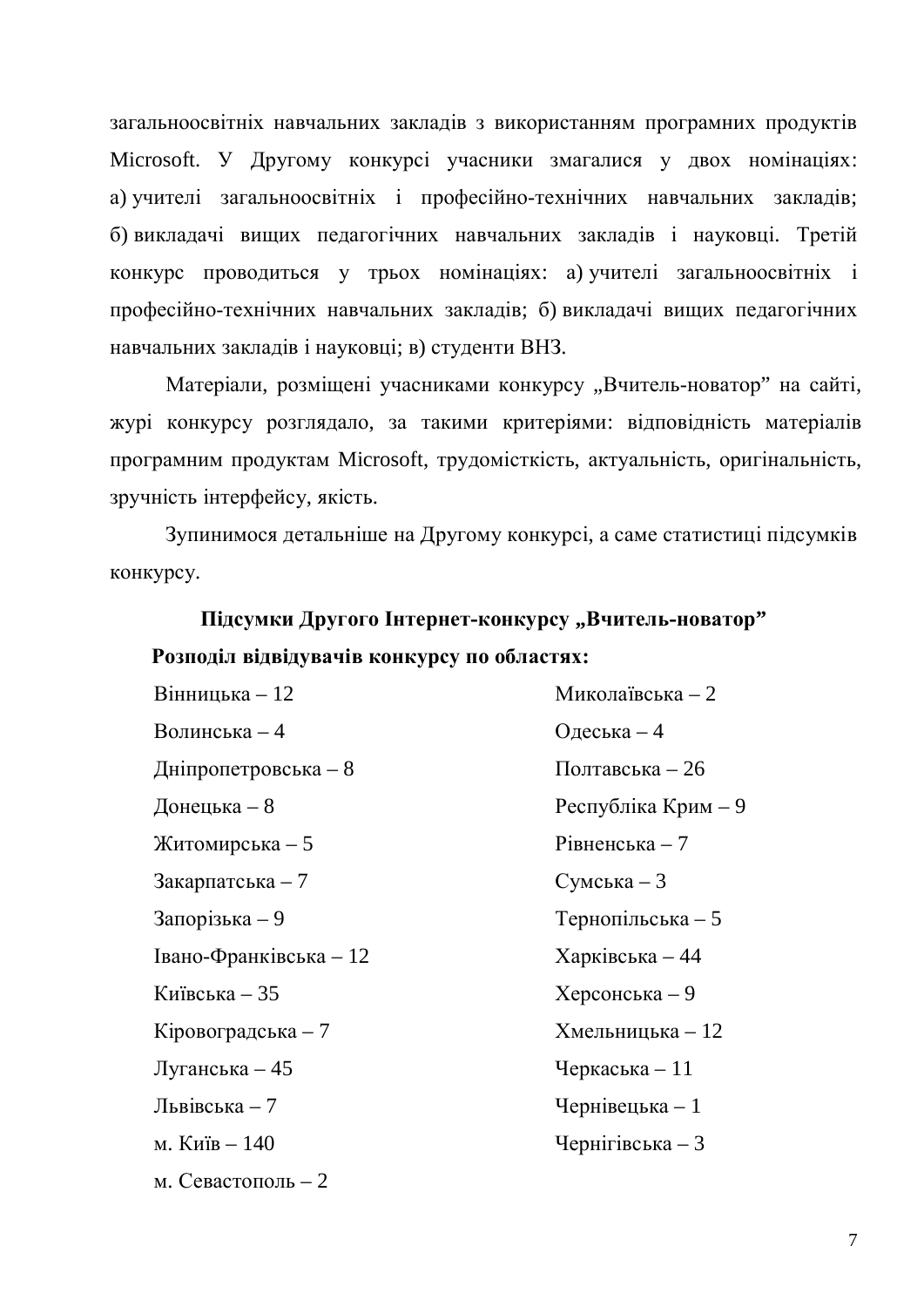загальноосвітніх навчальних закладів з використанням програмних продуктів Microsoft. У Другому конкурсі учасники змагалися у двох номінаціях: а) учителі загальноосвітніх і професійно-технічних навчальних закладів; б) викладачі вищих педагогічних навчальних закладів і науковці. Третій конкурс проводиться у трьох номінаціях: а) учителі загальноосвітніх і професійно-технічних навчальних закладів; б) викладачі вищих педагогічних навчальних закладів і науковці; в) студенти ВНЗ.

Матеріали, розміщені учасниками конкурсу "Вчитель-новатор" на сайті, журі конкурсу розглядало, за такими критеріями: відповідність матеріалів програмним продуктам Microsoft, трудомісткість, актуальність, оригінальність, зручність інтерфейсу, якість.

Зупинимося детальніше на Другому конкурсі, а саме статистиці підсумків конкурсу.

# **Підсумки Другого Інтернет-конкурсу "Вчитель-новатор"** Розподіл відвідувачів конкурсу по областях:

| Вінницька - 12         | Миколаївська - 2    |
|------------------------|---------------------|
| Волинська - 4          | Одеська - 4         |
| Дніпропетровська - 8   | Полтавська $-26$    |
| Донецька $-8$          | Республіка Крим – 9 |
| Житомирська - 5        | Рівненська $-7$     |
| Закарпатська $-7$      | $C$ умська – 3      |
| Запорізька $-9$        | Тернопільська - 5   |
| Івано-Франківська - 12 | Харківська $-44$    |
| Київська – 35          | Херсонська – 9      |
| Кіровоградська - 7     | Хмельницька - 12    |
| Луганська - 45         | Черкаська $-11$     |
| Львівська $-7$         | Чернівецька - 1     |
| м. Київ – 140          | Чернігівська $-3$   |
| м. Севастополь $-2$    |                     |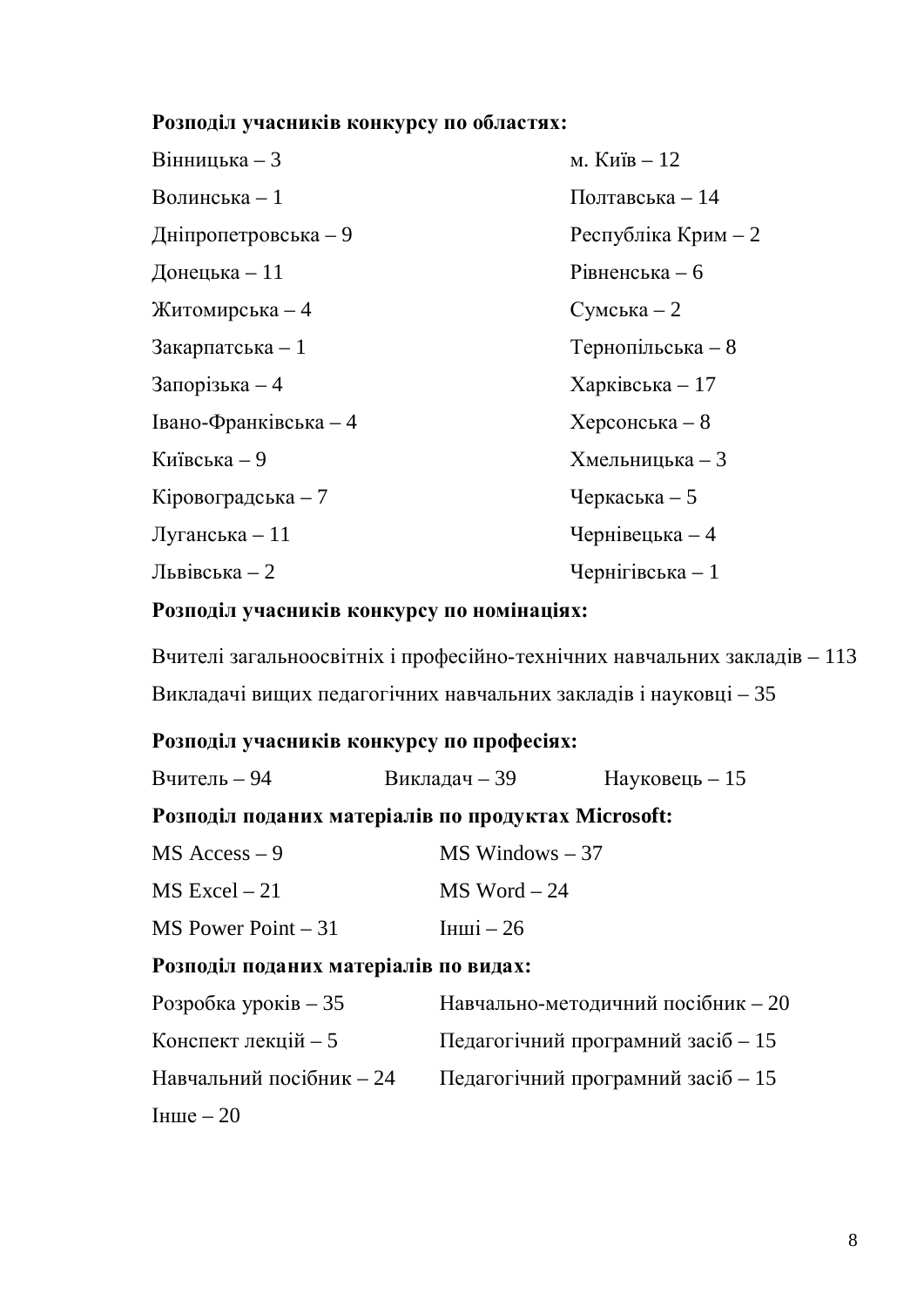# Розподіл учасників конкурсу по областях:

| Вінницька - 3         | м. Київ – 12         |
|-----------------------|----------------------|
| Волинська - 1         | Полтавська $-14$     |
| Дніпропетровська - 9  | Республіка Крим $-2$ |
| Донецька - 11         | Рівненська $-6$      |
| Житомирська - 4       | $C$ умська – 2       |
| Закарпатська - 1      | Тернопільська - 8    |
| Запорізька $-4$       | Харківська $-17$     |
| Івано-Франківська - 4 | $Xepcohebka-8$       |
| Київська - 9          | Хмельницька - 3      |
| Кіровоградська - 7    | Черкаська $-5$       |
| Луганська - 11        | Чернівецька - 4      |
| Львівська – 2         | Чернігівська $-1$    |

# Розподіл учасників конкурсу по номінаціях:

Вчителі загальноосвітніх і професійно-технічних навчальних закладів - 113 Викладачі вищих педагогічних навчальних закладів і науковці – 35

## Розподіл учасників конкурсу по професіях:

| Вчитель - 94                                        | Викладач – 39      | $Hay\kappa$ овець – 15             |  |  |
|-----------------------------------------------------|--------------------|------------------------------------|--|--|
| Розподіл поданих матеріалів по продуктах Microsoft: |                    |                                    |  |  |
| $MS$ Access $-9$                                    | $MS$ Windows $-37$ |                                    |  |  |
| $MS$ Excel $-21$                                    |                    | $MS$ Word $-24$                    |  |  |
| $MS$ Power Point $-31$                              | $I$ HIII $i - 26$  |                                    |  |  |
| Розподіл поданих матеріалів по видах:               |                    |                                    |  |  |
| Розробка уроків $-35$                               |                    | Навчально-методичний посібник - 20 |  |  |
| Конспект лекцій - 5                                 |                    | Педагогічний програмний засіб - 15 |  |  |
| Навчальний посібник - 24                            |                    | Педагогічний програмний засіб - 15 |  |  |
| $I$ HIII $e - 20$                                   |                    |                                    |  |  |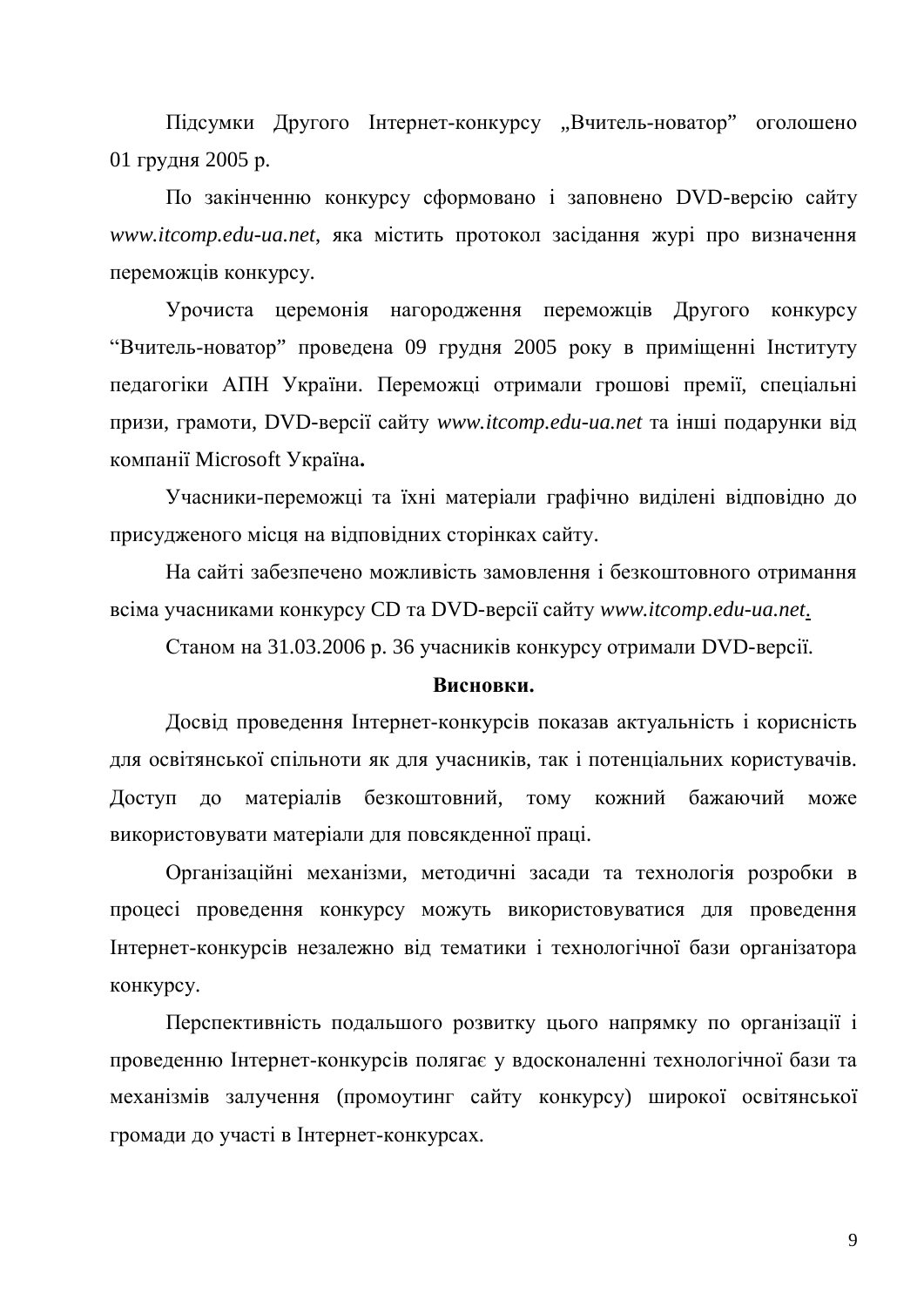Підсумки Другого Інтернет-конкурсу "Вчитель-новатор" оголошено 01 грудня 2005 p.

По закінченню конкурсу сформовано і заповнено DVD-версію сайту *www.itcomp.edu-ua.net*, яка містить протокол засідання журі про визначення переможців конкурсу.

Урочиста церемонія нагородження переможців Другого конкурсу "Вчитель-новатор" проведена 09 грудня 2005 року в приміщенні Інституту педагогіки АПН України. Переможці отримали грошові премії, спеціальні призи, грамоти, DVD-версії сайту www.itcomp.edu-ua.net та інші подарунки від компанії Microsoft Україна.

Учасники-переможці та їхні матеріали графічно виділені відповідно до присулженого місця на вілповілних сторінках сайту.

На сайті забезпечено можливість замовлення і безкоштовного отримання **всіма учасниками конкурсу CD та DVD-версії сайту www.itcomp.edu-ua.net.** 

Станом на 31.03.2006 р. 36 учасників конкурсу отримали DVD-версії.

### **Висновки.**

Досвід проведення Інтернет-конкурсів показав актуальність і корисність для освітянської спільноти як для учасників, так і потенціальних користувачів. Доступ до матеріалів безкоштовний, тому кожний бажаючий може використовувати матеріали для повсякденної праці.

Організаційні механізми, методичні засади та технологія розробки в процесі проведення конкурсу можуть використовуватися для проведення Інтернет-конкурсів незалежно від тематики і технологічної бази організатора конкурсу.

Перспективність подальшого розвитку цього напрямку по організації і проведенню Інтернет-конкурсів полягає у вдосконаленні технологічної бази та механізмів залучення (промоутинг сайту конкурсу) широкої освітянської громади до участі в Інтернет-конкурсах.